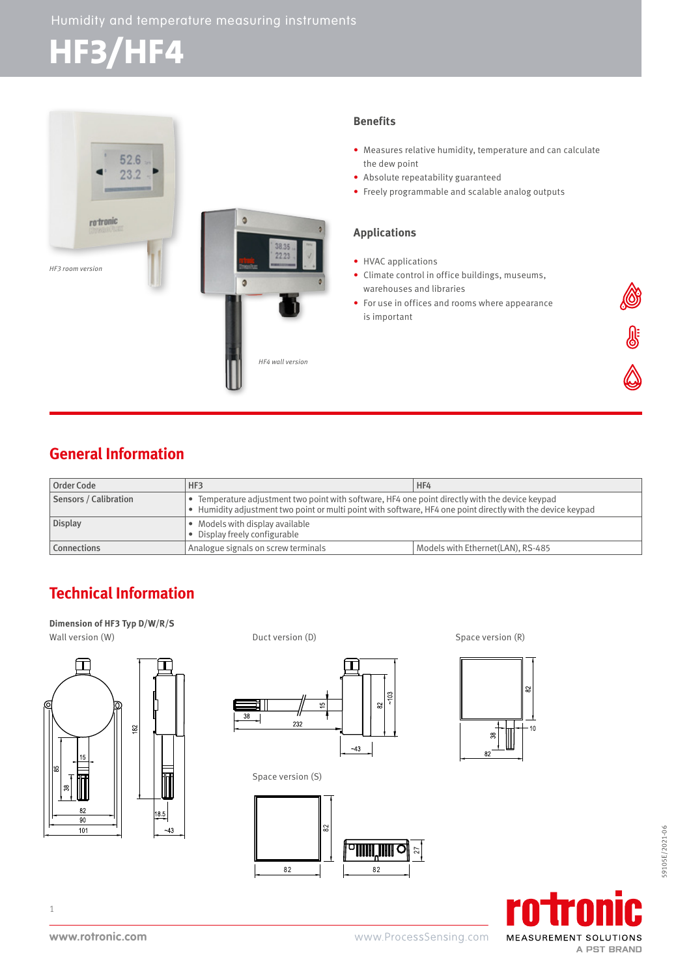# **HF3/HF4**



### **Benefits**

- Measures relative humidity, temperature and can calculate the dew point
- Absolute repeatability guaranteed
- Freely programmable and scalable analog outputs

### **Applications**

- HVAC applications
- Climate control in office buildings, museums, warehouses and libraries
- For use in offices and rooms where appearance is important



| Order Code            | HF3                                                                                                         | HF4                               |
|-----------------------|-------------------------------------------------------------------------------------------------------------|-----------------------------------|
| Sensors / Calibration | • Temperature adjustment two point with software, HF4 one point directly with the device keypad             |                                   |
|                       | • Humidity adjustment two point or multi point with software, HF4 one point directly with the device keypad |                                   |
| <b>Display</b>        | • Models with display available<br>• Display freely configurable                                            |                                   |
| <b>Connections</b>    | Analogue signals on screw terminals                                                                         | Models with Ethernet(LAN), RS-485 |

# **Technical Information**

**Dimension of HF3 Typ D/W/R/S**



Wall version (W)  $Duct version (D)$  Duct version (D) Space version (R)



Space version (S)





**SE** 



1